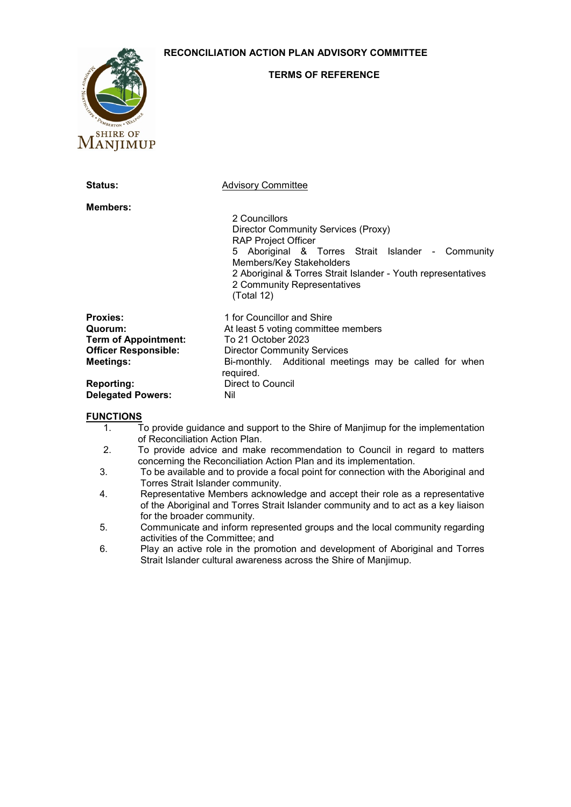## **RECONCILIATION ACTION PLAN ADVISORY COMMITTEE**



## **TERMS OF REFERENCE**

| <b>Status:</b>                                                                                               | <b>Advisory Committee</b>                                                                                                                                                                                                                                                         |
|--------------------------------------------------------------------------------------------------------------|-----------------------------------------------------------------------------------------------------------------------------------------------------------------------------------------------------------------------------------------------------------------------------------|
| <b>Members:</b>                                                                                              | 2 Councillors<br>Director Community Services (Proxy)<br><b>RAP Project Officer</b><br>5 Aboriginal & Torres Strait Islander - Community<br>Members/Key Stakeholders<br>2 Aboriginal & Torres Strait Islander - Youth representatives<br>2 Community Representatives<br>(Total 12) |
| <b>Proxies:</b><br>Quorum:<br><b>Term of Appointment:</b><br><b>Officer Responsible:</b><br><b>Meetings:</b> | 1 for Councillor and Shire<br>At least 5 voting committee members<br>To 21 October 2023<br><b>Director Community Services</b><br>Bi-monthly. Additional meetings may be called for when<br>required.                                                                              |
| <b>Reporting:</b><br><b>Delegated Powers:</b>                                                                | Direct to Council<br>Nil                                                                                                                                                                                                                                                          |

## **FUNCTIONS**

- 1. To provide guidance and support to the Shire of Manjimup for the implementation of Reconciliation Action Plan.
- 2. To provide advice and make recommendation to Council in regard to matters concerning the Reconciliation Action Plan and its implementation.
- 3. To be available and to provide a focal point for connection with the Aboriginal and Torres Strait Islander community.
- 4. Representative Members acknowledge and accept their role as a representative of the Aboriginal and Torres Strait Islander community and to act as a key liaison for the broader community.
- 5. Communicate and inform represented groups and the local community regarding activities of the Committee; and
- 6. Play an active role in the promotion and development of Aboriginal and Torres Strait Islander cultural awareness across the Shire of Manjimup.